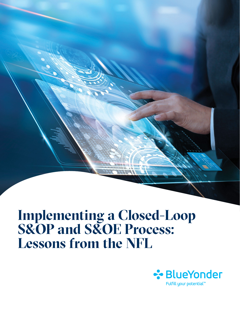# **Implementing a Closed-Loop S&OP and S&OE Process: Lessons from the NFL**

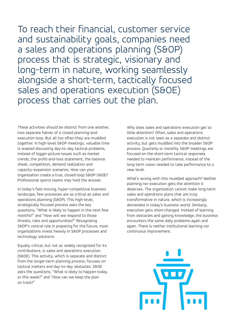To reach their financial, customer service and sustainability goals, companies need a sales and operations planning (S&OP) process that is strategic, visionary and long-term in nature, working seamlessly alongside a short-term, tactically focused sales and operations execution (S&OE) process that carries out the plan.

These activities should be distinct from one another, two separate halves of a closed planning-andexecution loop. But all too often they are muddled together. In high-level S&OP meetings, valuable time is wasted discussing day-to-day tactical problems, instead of bigger-picture issues such as market trends, the profit-and-loss statement, the balance sheet, competition, demand realization and capacity-expansion scenarios. How can your organization create a true, closed-loop S&OP-S&OE? Professional sports teams may hold the answer.

In today's fast-moving, hyper-competitive business landscape, few processes are as critical as sales and operations planning (S&OP). This high-level, strategically focused process asks the key questions, "What is likely to happen in the next few months?" and "How will we respond to those threats, risks and opportunities?" Recognizing S&OP's central role in preparing for the future, most organizations invest heavily in S&OP processes and technology solutions.

Equally critical, but not as widely recognized for its contributions, is sales and operations execution (S&OE). This activity, which is separate and distinct from the longer-term planning process, focuses on tactical matters and day-to-day obstacles. S&OE asks the questions, "What is likely to happen today, or this week?" and "How can we keep the plan on track?"

Why does sales and operations execution get so little attention? Often, sales and operations execution is not seen as a separate and distinct activity, but gets muddled into the broader S&OP process. Quarterly or monthly S&OP meetings are focused on the short-term tactical responses needed to maintain performance, instead of the long-term vision needed to take performance to a new level.

What's wrong with this muddled approach? Neither planning nor execution gets the attention it deserves. The organization cannot make long-term sales and operations plans that are truly transformative in nature, which is increasingly demanded in today's business world. Similarly, execution gets short-changed. Instead of learning from obstacles and gaining knowledge, the business encounters the same daily problems again and again. There is neither institutional learning nor continuous improvement.

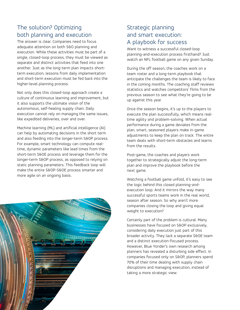# The solution? Optimizing both planning and execution

The answer is clear. Companies need to focus adequate attention on both S&O planning and execution. While these activities must be part of a single, closed-loop process, they must be viewed as separate and distinct activities that feed into one another. Just as the long-term plan impacts shortterm execution, lessons from daily implementation and short-term execution must be fed back into the higher-level planning process.

Not only does this closed-loop approach create a culture of continuous learning and improvement, but it also supports the ultimate vision of the autonomous, self-healing supply chain. Daily execution cannot rely on managing the same issues, like expedited deliveries, over and over.

Machine learning (ML) and artificial intelligence (AI) can help by automating decisions in the short term and also feeding into the longer-term S&OP process. For example, smart technology can compute realtime, dynamic parameters like lead times from the short-term S&OE process and leverage them for the longer-term S&OP process, as opposed to relying on static planning parameters. This feedback loop will make the entire S&OP-S&OE process smarter and more agile on an ongoing basis.



### Strategic planning and smart execution: A playbook for success

Want to witness a successful closed-loop planning-and-execution process firsthand? Just watch an NFL football game on any given Sunday.

During the off season, the coaches work on a team roster and a long-term playbook that anticipate the challenges the team is likely to face in the coming months. The coaching staff reviews statistics and watches competitors' films from the previous season to see what they're going to be up against this year.

Once the season begins, it's up to the players to execute the plan successfully, which means realtime agility and problem-solving. When actual performance during a game deviates from the plan, smart, seasoned players make in-game adjustments to keep the plan on track. The entire team deals with short-term obstacles and learns from the results.

Post-game, the coaches and players work together to strategically adjust the long-term plan and improve the playbook before the next game.

Watching a football game unfold, it's easy to see the logic behind this closed planning-andexecution loop. And it mirrors the way many successful sports teams work in the real world, season after season. So why aren't more companies closing the loop and giving equal weight to execution?

Certainly part of the problem is cultural. Many businesses have focused on S&OP exclusively, considering daily execution just part of this broader activity. They lack a separate S&OE team and a distinct execution-focused process. However, Blue Yonder's own research among planners has revealed a disturbing side effect. In companies focused only on S&OP, planners spend 70% of their time dealing with supply chain disruptions and managing execution, instead of taking a more strategic view.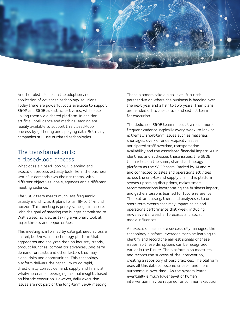

Another obstacle lies in the adoption and application of advanced technology solutions. Today there are powerful tools available to support S&OP and S&OE as distinct activities, while also linking them via a shared platform. In addition, artificial intelligence and machine learning are readily available to support this closed-loop process by gathering and applying data. But many companies still use outdated technologies.

## The transformation to a closed-loop process

What does a closed-loop S&O planning and execution process actually look like in the business world? It demands two distinct teams, with different objectives, goals, agendas and a different meeting cadence.

The S&OP team meets much less frequently, usually monthly, as it plans for an 18- to 24-month horizon. This meeting is purely strategic in nature, with the goal of meeting the budget committed to Wall Street, as well as taking a visionary look at major threats and opportunities.

This meeting is informed by data gathered across a shared, best-in-class technology platform that aggregates and analyzes data on industry trends, product launches, competitor advances, long-term demand forecasts and other factors that may signal risks and opportunities. This technology platform delivers the capability to do rapid, directionally correct demand, supply and financial what-if scenarios leveraging internal insights based on historic execution. However, daily execution issues are not part of the long-term S&OP meeting.

These planners take a high-level, futuristic perspective on where the business is heading over the next year and a half to two years. Their plans are handed off to a separate and distinct team for execution.

The dedicated S&OE team meets at a much more frequent cadence, typically every week, to look at extremely short-term issues such as materials shortages, over- or under-capacity issues, anticipated staff overtime, transportation availability and the associated financial impact. As it identifies and addresses these issues, the S&OE team relies on the same, shared technology platform as the S&OP team. Backed by AI and ML, and connected to sales and operations activities across the end-to-end supply chain, this platform senses upcoming disruptions, makes smart recommendations incorporating the business impact, and gathers lessons learned for future reference. The platform also gathers and analyzes data on short-term events that may impact sales and operations performance that week, including news events, weather forecasts and social media influences.

As execution issues are successfully managed, the technology platform leverages machine learning to identify and record the earliest signals of these issues, so these disruptions can be recognized earlier in the future. The platform also measures and records the success of the intervention, creating a repository of best practices. The platform uses all this data to become smarter and more autonomous over time. As the system learns, eventually a much lower level of human intervention may be required for common execution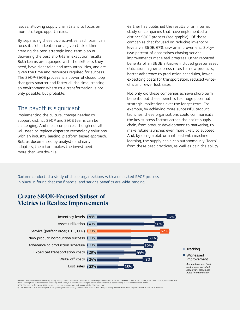issues, allowing supply chain talent to focus on more strategic opportunities.

By separating these two activities, each team can focus its full attention on a given task, either creating the best strategic long-term plan or delivering the best short-term execution results. Both teams are equipped with the skill sets they need, have clear roles and accountabilities, and are given the time and resources required for success. The S&OP-S&OE process is a powerful closed loop that gets smarter and faster all the time, creating an environment where true transformation is not only possible, but probable.

#### The payoff is significant

Implementing the cultural change needed to support distinct S&OP and S&OE teams can be challenging. And most companies, though not all, will need to replace disparate technology solutions with an industry-leading, platform-based approach. But, as documented by analysts and early adopters, the return makes the investment more than worthwhile.

Gartner has published the results of an internal study on companies that have implemented a distinct S&OE process (see graphic)1. Of those companies that focused on reducing inventory levels via S&OE, 67% saw an improvement. Sixtytwo percent of enterprises chasing service improvements made real progress. Other reported benefits of an S&OE initiative included greater asset utilization, higher success rates for new products, better adherence to production schedules, lower expediting costs for transportation, reduced writeoffs and fewer lost sales.

Not only did these companies achieve short-term benefits, but these benefits had huge potential strategic implications over the longer term. For example, by achieving more successful product launches, these organizations could communicate the key success factors across the entire supply chain, from product development to marketing, to make future launches even more likely to succeed. And, by using a platform infused with machine learning, the supply chain can autonomously "learn" from these best practices, as well as gain the ability

Gartner conducted a study of those organizations with a dedicated S&OE process in place. It found that the financial and service benefits are wide-ranging.

#### **Create S&OE-Focused Subset of Metrics to Realize Improvements**



■ Witnessed Improvement

> *each metric, individual bases vary, please see notes for more detail)*

Gartner's S&OP Success online survey among supply chain professionals involved in the S&OP process in companies with revenue of more than \$250M; Total base: n = 304; November 2018 Base: Tracking base —Respondents, Excluding Don't Know, n = 269. Witnessed improvement base —individual bases among those who track each metric.<br>QCOI. Which of the following S6DP metrics does your organization track as par